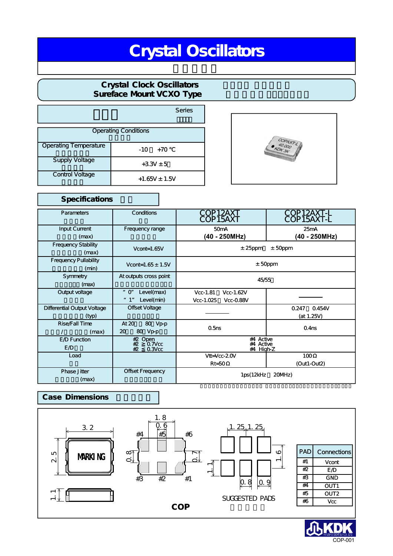# Crystal Oscillators

### **Crystal Clock Oscillators** Sureface Mount VCXO Type

|                              | <b>Series</b>     |  |
|------------------------------|-------------------|--|
| <b>Operating Conditions</b>  |                   |  |
| <b>Operating Temperature</b> | $+70$<br>-10      |  |
| <b>Supply Voltage</b>        | $+3.3V + 5$       |  |
| <b>Control Voltage</b>       | $+1.65V \pm 1.5V$ |  |



### Specifications Conditions Frequency range At outputs cross point "0" Level(max) " 1" Level(min) Offset Voltage At 20%~ 80 Vp-p 20 80 Vp-p Offset Frequency **Parameters** Input Current  $(max)$ Frequency Stability  $(max)$ Frequency Pullability  $(min)$ Symmetry  $(max)$ Output voltage Differential Output Voltage 差動出力電圧(typ) Rise/Fall Time  $/$  (max) E<sub>/D</sub> Function E<sub>/D</sub> Load Phase Jitter  $(max)$ COP12AXT COP15AXT  $±25$ ppm  $±50$ ppm ±50ppm 45/55 1ps(12kHz 20MHz) #2 Open<br>#2 0.7Vcc<br><u>#2 0.3Vcc</u> #4 Active<br>#4 Active<br>#4 High-Z 50mA Vcc-1.81 Vcc-1.62V Vcc-1.025 Vcc-0.88V Vtt=Vcc-2.0V Rt=50 25mA 0.247 0.454V  $(at 1.25V)$ 100 (Out1-Out2) Vcont=1.65V Vcont=1.65  $\pm$  1.5V 0.5ns 0.4ns COP12AXT-L COP15AXT-L **(40 - 250MHz) (40 - 250MHz)**

### **Case Dimensions**